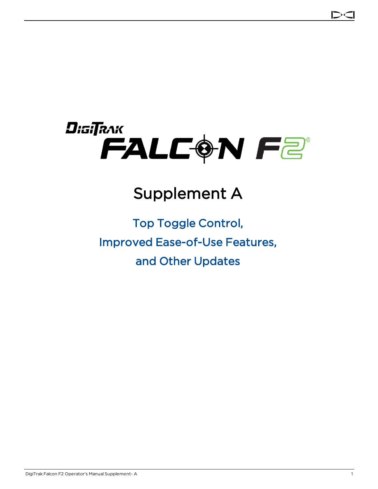

# Supplement A

# Top Toggle Control, Improved Ease-of-Use Features, and Other Updates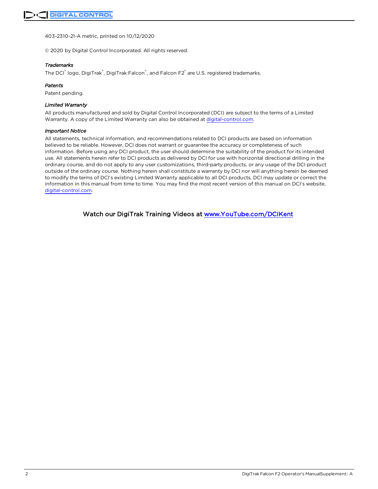403-2310-21-A metric, printed on 10/12/2020

© 2020 by Digital Control Incorporated. All rights reserved.

#### *Trademarks*

The DCI® logo, DigiTrak®, DigiTrak Falcon®, and Falcon F2® are U.S. registered trademarks.

#### *Patents*

Patent pending.

#### *Limited Warranty*

All products manufactured and sold by Digital Control Incorporated (DCI) are subject to the terms of a Limited Warranty. A copy of the Limited Warranty can also be obtained at [digital-control.com](http://digital-control.com/).

#### *Important Notice*

All statements, technical information, and recommendations related to DCI products are based on information believed to be reliable. However, DCI does not warrant or guarantee the accuracy or completeness of such information. Before using any DCI product, the user should determine the suitability of the product for its intended use. All statements herein refer to DCI products as delivered by DCI for use with horizontal directional drilling in the ordinary course, and do not apply to any user customizations, third-party products, or any usage of the DCI product outside of the ordinary course. Nothing herein shall constitute a warranty by DCI nor will anything herein be deemed to modify the terms of DCI's existing Limited Warranty applicable to all DCI products. DCI may update or correct the information in this manual from time to time. You may find the most recent version of this manual on DCI's website, [digital-control.com](http://digital-control.com/).

Watch our DigiTrak Training Videos at [www.YouTube.com/DCIKent](http://www.youtube.com/DCIKent)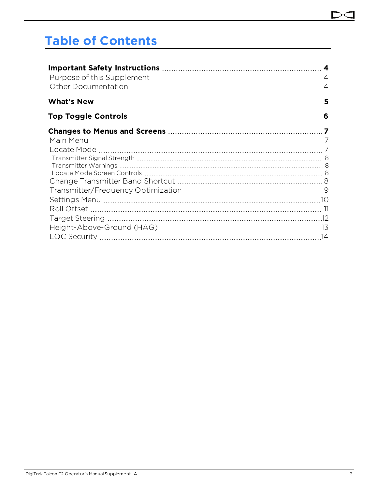#### D

# **Table of Contents**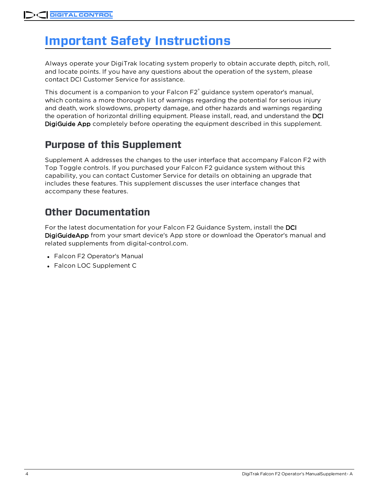# <span id="page-3-0"></span>**Important Safety Instructions**

Always operate your DigiTrak locating system properly to obtain accurate depth, pitch, roll, and locate points. If you have any questions about the operation of the system, please contact DCI Customer Service for assistance.

This document is a companion to your Falcon F2<sup>®</sup> guidance system operator's manual, which contains a more thorough list of warnings regarding the potential for serious injury and death, work slowdowns, property damage, and other hazards and warnings regarding the operation of horizontal drilling equipment. Please install, read, and understand the DCI DigiGuide App completely before operating the equipment described in this supplement.

## <span id="page-3-1"></span>**Purpose of this Supplement**

Supplement A addresses the changes to the user interface that accompany Falcon F2 with Top Toggle controls. If you purchased your Falcon F2 guidance system without this capability, you can contact Customer Service for details on obtaining an upgrade that includes these features. This supplement discusses the user interface changes that accompany these features.

## <span id="page-3-2"></span>**Other Documentation**

For the latest documentation for your Falcon F2 Guidance System, install the DCI DigiGuideApp from your smart device's App store or download the Operator's manual and related supplements from digital-control.com.

- Falcon F2 Operator's Manual
- Falcon LOC Supplement C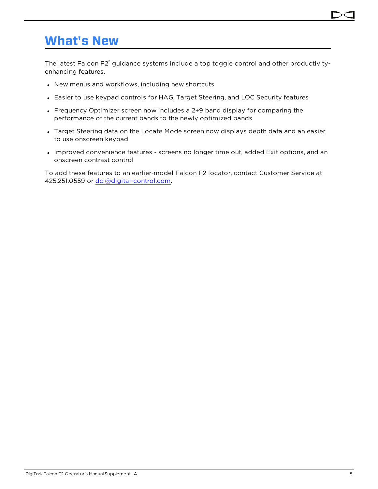## <span id="page-4-0"></span>**What's New**

The latest Falcon F2<sup>®</sup> guidance systems include a top toggle control and other productivityenhancing features.

- New menus and workflows, including new shortcuts
- Easier to use keypad controls for HAG, Target Steering, and LOC Security features
- Frequency Optimizer screen now includes a 2+9 band display for comparing the performance of the current bands to the newly optimized bands
- Target Steering data on the Locate Mode screen now displays depth data and an easier to use onscreen keypad
- Improved convenience features screens no longer time out, added Exit options, and an onscreen contrast control

To add these features to an earlier-model Falcon F2 locator, contact Customer Service at 425.251.0559 or [dci@digital-control.com.](mailto:dci@digital-control.com)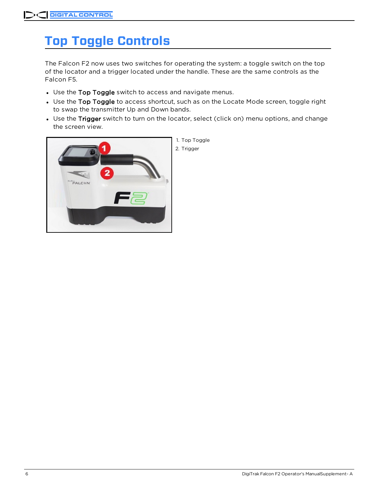# <span id="page-5-0"></span>**Top Toggle Controls**

The Falcon F2 now uses two switches for operating the system: a toggle switch on the top of the locator and a trigger located under the handle. These are the same controls as the Falcon F5.

- Use the Top Toggle switch to access and navigate menus.
- Use the Top Toggle to access shortcut, such as on the Locate Mode screen, toggle right to swap the transmitter Up and Down bands.
- Use the Trigger switch to turn on the locator, select (click on) menu options, and change the screen view.

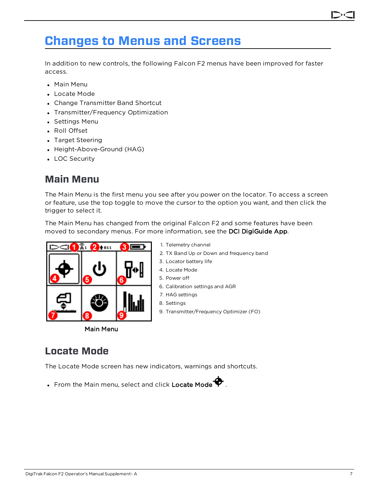## <span id="page-6-0"></span>**Changes to Menus and Screens**

In addition to new controls, the following Falcon F2 menus have been improved for faster access.

- Main Menu
- Locate Mode
- Change Transmitter Band Shortcut
- Transmitter/Frequency Optimization
- Settings Menu
- Roll Offset
- Target Steering
- Height-Above-Ground (HAG)
- <span id="page-6-1"></span>• LOC Security

#### **Main Menu**

The Main Menu is the first menu you see after you power on the locator. To access a screen or feature, use the top toggle to move the cursor to the option you want, and then click the trigger to select it.

The Main Menu has changed from the original Falcon F2 and some features have been moved to secondary menus. For more information, see the DCI DigiGuide App.

1. Telemetry channel

3. Locator battery life 4. Locate Mode 5. Power off

7. HAG settings 8. Settings

6. Calibration settings and AGR

2. TX Band Up or Down and frequency band

9. Transmitter/Frequency Optimizer (FO)



Main Menu

#### <span id="page-6-2"></span>**Locate Mode**

The Locate Mode screen has new indicators, warnings and shortcuts.

• From the Main menu, select and click Locate Mode  $\blacklozenge$ .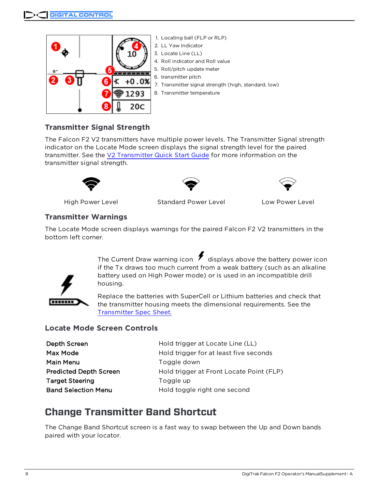

#### <span id="page-7-0"></span>**Transmitter Signal Strength**

The Falcon F2 V2 transmitters have multiple power levels. The Transmitter Signal strength indicator on the Locate Mode screen displays the signal strength level for the paired transmitter. See the V2 [Transmitter](https://dci.zendesk.com/hc/en-us/categories/115000411413-Transmitters) Quick Start Guide for more information on the transmitter signal strength.





High Power Level Standard Power Level Low Power Level

#### <span id="page-7-1"></span>**Transmitter Warnings**

The Locate Mode screen displays warnings for the paired Falcon F2 V2 transmitters in the bottom left corner.

> The Current Draw warning icon  $\bigtriangledown$  displays above the battery power icon if the Tx draws too much current from a weak battery (such as an alkaline battery used on High Power mode) or is used in an incompatible drill housing.

**THEFT** 

Replace the batteries with SuperCell or Lithium batteries and check that the transmitter housing meets the dimensional requirements. See the [Transmitter](https://dci.zendesk.com/hc/en-us/categories/115000411413-Transmitters) Spec Sheet.

#### <span id="page-7-2"></span>**Locate Mode Screen Controls**

| Depth Screen                  | Hold trigger at Locate Line (LL)         |
|-------------------------------|------------------------------------------|
| Max Mode                      | Hold trigger for at least five seconds   |
| Main Menu                     | Toggle down                              |
| <b>Predicted Depth Screen</b> | Hold trigger at Front Locate Point (FLP) |
| <b>Target Steering</b>        | Toggle up                                |
| <b>Band Selection Menu</b>    | Hold toggle right one second             |

#### <span id="page-7-3"></span>**Change Transmitter Band Shortcut**

The Change Band Shortcut screen is a fast way to swap between the Up and Down bands paired with your locator.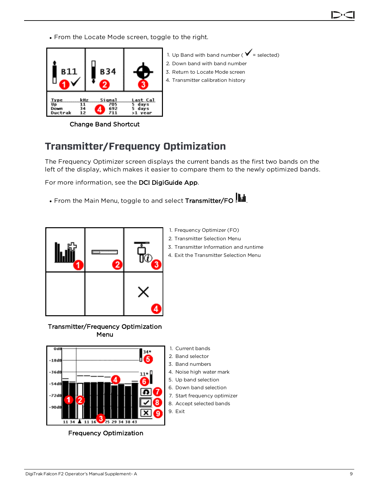• From the Locate Mode screen, toggle to the right.



1. Up Band with band number ( $\checkmark$  = selected) 2. Down band with band number 3. Return to Locate Mode screen 4. Transmitter calibration history

Change Band Shortcut

## <span id="page-8-0"></span>**Transmitter/Frequency Optimization**

The Frequency Optimizer screen displays the current bands as the first two bands on the left of the display, which makes it easier to compare them to the newly optimized bands.

For more information, see the DCI DigiGuide App.

• From the Main Menu, toggle to and select Transmitter/FO  $\blacksquare$ 



Transmitter/Frequency Optimization Menu

- 1. Frequency Optimizer (FO)
- 2. Transmitter Selection Menu
- 3. Transmitter Information and runtime
- 4. Exit the Transmitter Selection Menu



Frequency Optimization

- 1. Current bands
- 2. Band selector
- 3. Band numbers
- 4. Noise high water mark
- 5. Up band selection
- 6. Down band selection
- 7. Start frequency optimizer
- 8. Accept selected bands
- 9. Exit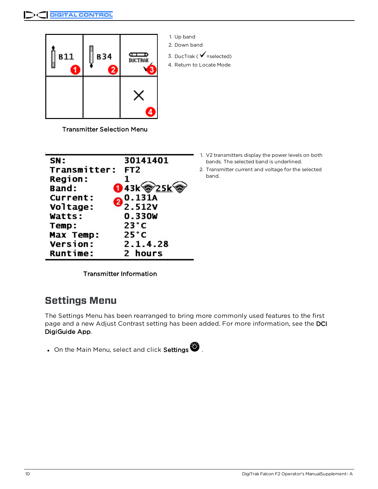

1. Up band 2. Down band

3. DucTrak ( $\checkmark$  =selected)

4. Return to Locate Mode

Transmitter Selection Menu

| SN:             | 30141401        |
|-----------------|-----------------|
| Transmitter:    | FT <sub>2</sub> |
| <b>Region:</b>  | 1               |
| Band:           | O 43k @25k      |
| <b>Current:</b> | 0.131A          |
| Voltage:        | 2.512V          |
| Watts:          | 0.330W          |
| Temp:           | $23^{\circ}$ C  |
| Max Temp:       | $25^{\circ}$ C  |
| <b>Version:</b> | 2.1.4.28        |
| <b>Runtime:</b> | 2 hours         |

- 1. V2 transmitters display the power levels on both bands. The selected band is underlined.
- 2. Transmitter current and voltage for the selected band.

Transmitter Information

## <span id="page-9-0"></span>**Settings Menu**

The Settings Menu has been rearranged to bring more commonly used features to the first page and a new Adjust Contrast setting has been added. For more information, see the DCI DigiGuide App.

• On the Main Menu, select and click Settings  $\bigcirc$ .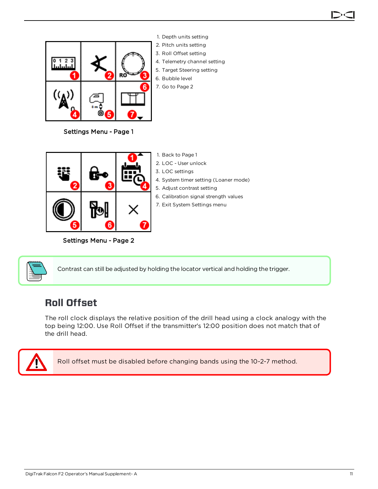

1. Depth units setting 2. Pitch units setting 3. Roll Offset setting 4. Telemetry channel setting

- 5. Target Steering setting
- 6. Bubble level
- 7. Go to Page 2

1. Back to Page 1 2. LOC - User unlock

7. Exit System Settings menu

Settings Menu - Page 1



Settings Menu - Page 2



Contrast can still be adjusted by holding the locator vertical and holding the trigger.

## <span id="page-10-0"></span>**Roll Offset**

The roll clock displays the relative position of the drill head using a clock analogy with the top being 12:00. Use Roll Offset if the transmitter's 12:00 position does not match that of the drill head.



Roll offset must be disabled before changing bands using the 10-2-7 method.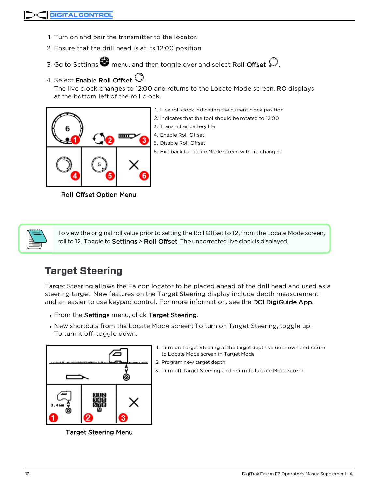- 1. Turn on and pair the transmitter to the locator.
- 2. Ensure that the drill head is at its 12:00 position.
- 3. Go to Settings **i** menu, and then toggle over and select Roll Offset  $\mathcal{D}$ .

#### 4. Select Enable Roll Offset  $\mathbb Q$ .

The live clock changes to 12:00 and returns to the Locate Mode screen. RO displays at the bottom left of the roll clock.



- 1. Live roll clock indicating the current clock position 2. Indicates that the tool should be rotated to 12:00 3. Transmitter battery life 4. Enable Roll Offset
	- 5. Disable Roll Offset

6. Exit back to Locate Mode screen with no changes

Roll Offset Option Menu



To view the original roll value prior to setting the Roll Offset to 12, from the Locate Mode screen, roll to 12. Toggle to Settings > Roll Offset. The uncorrected live clock is displayed.

## <span id="page-11-0"></span>**Target Steering**

Target Steering allows the Falcon locator to be placed ahead of the drill head and used as a steering target. New features on the Target Steering display include depth measurement and an easier to use keypad control. For more information, see the DCI DigiGuide App.

- . From the Settings menu, click Target Steering.
- New shortcuts from the Locate Mode screen: To turn on Target Steering, toggle up. To turn it off, toggle down.



Target Steering Menu

- 1. Turn on Target Steering at the target depth value shown and return to Locate Mode screen in Target Mode
- 2. Program new target depth
- 3. Turn off Target Steering and return to Locate Mode screen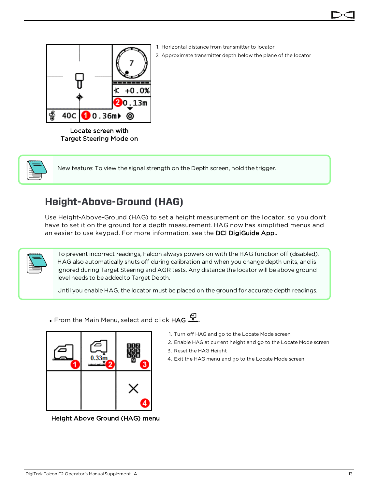

1. Horizontal distance from transmitter to locator 2. Approximate transmitter depth below the plane of the locator

Locate screen with Target Steering Mode on



New feature: To view the signal strength on the Depth screen, hold the trigger.

## <span id="page-12-0"></span>**Height-Above-Ground (HAG)**

Use Height-Above-Ground (HAG) to set a height measurement on the locator, so you don't have to set it on the ground for a depth measurement. HAG now has simplified menus and an easier to use keypad. For more information, see the DCI DigiGuide App..



To prevent incorrect readings, Falcon always powers on with the HAG function off (disabled). HAG also automatically shuts off during calibration and when you change depth units, and is ignored during Target Steering and AGR tests. Any distance the locator will be above ground level needs to be added to Target Depth.

Until you enable HAG, the locator must be placed on the ground for accurate depth readings.

. From the Main Menu, select and click HAG  $\frac{d}{dx}$ .



Height Above Ground (HAG) menu

- 1. Turn off HAG and go to the Locate Mode screen
- 2. Enable HAG at current height and go to the Locate Mode screen
- 3. Reset the HAG Height
- 4. Exit the HAG menu and go to the Locate Mode screen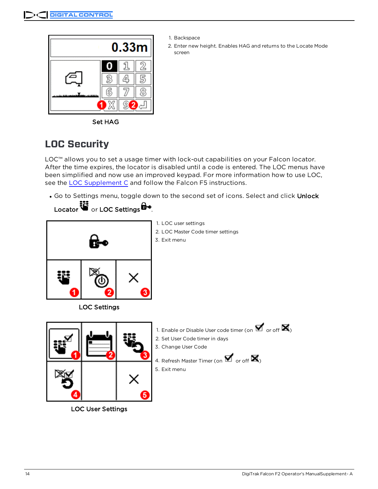

- 1. Backspace
- 2. Enter new height. Enables HAG and returns to the Locate Mode screen

Set HAG

## <span id="page-13-0"></span>**LOC Security**

LOC™ allows you to set a usage timer with lock-out capabilities on your Falcon locator. After the time expires, the locator is disabled until a code is entered. The LOC menus have been simplified and now use an improved keypad. For more information how to use LOC, see the LOC [Supplement](https://dci.zendesk.com/hc/en-us/articles/360000589753-Supplement-C-LOC) C and follow the Falcon F5 instructions.

. Go to Settings menu, toggle down to the second set of icons. Select and click Unlock